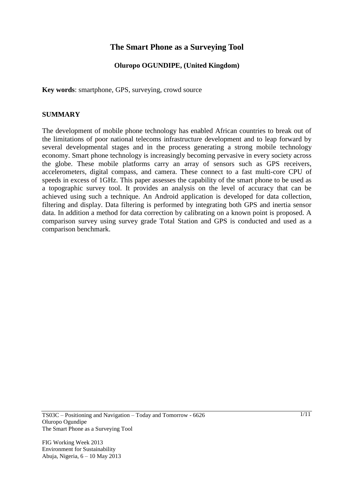# **The Smart Phone as a Surveying Tool**

# **Oluropo OGUNDIPE, (United Kingdom)**

**Key words**: smartphone, GPS, surveying, crowd source

#### **SUMMARY**

The development of mobile phone technology has enabled African countries to break out of the limitations of poor national telecoms infrastructure development and to leap forward by several developmental stages and in the process generating a strong mobile technology economy. Smart phone technology is increasingly becoming pervasive in every society across the globe. These mobile platforms carry an array of sensors such as GPS receivers, accelerometers, digital compass, and camera. These connect to a fast multi-core CPU of speeds in excess of 1GHz. This paper assesses the capability of the smart phone to be used as a topographic survey tool. It provides an analysis on the level of accuracy that can be achieved using such a technique. An Android application is developed for data collection, filtering and display. Data filtering is performed by integrating both GPS and inertia sensor data. In addition a method for data correction by calibrating on a known point is proposed. A comparison survey using survey grade Total Station and GPS is conducted and used as a comparison benchmark.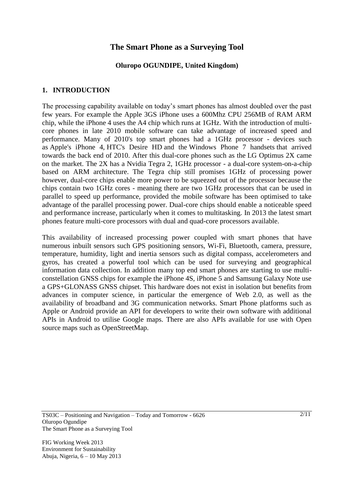# **The Smart Phone as a Surveying Tool**

## **Oluropo OGUNDIPE, United Kingdom)**

#### **1. INTRODUCTION**

The processing capability available on today"s smart phones has almost doubled over the past few years. For example the Apple 3GS iPhone uses a 600Mhz CPU 256MB of RAM ARM chip, while the iPhone 4 uses the A4 chip which runs at 1GHz. With the introduction of multicore phones in late 2010 mobile software can take advantage of increased speed and performance. Many of 2010's top smart phones had a 1GHz processor - devices such as Apple's iPhone 4, HTC's Desire HD and the Windows Phone 7 handsets that arrived towards the back end of 2010. After this dual-core phones such as the LG Optimus 2X came on the market. The 2X has a Nvidia Tegra 2, 1GHz processor - a dual-core system-on-a-chip based on ARM architecture. The Tegra chip still promises 1GHz of processing power however, dual-core chips enable more power to be squeezed out of the processor because the chips contain two 1GHz cores - meaning there are two 1GHz processors that can be used in parallel to speed up performance, provided the mobile software has been optimised to take advantage of the parallel processing power. Dual-core chips should enable a noticeable speed and performance increase, particularly when it comes to multitasking. In 2013 the latest smart phones feature multi-core processors with dual and quad-core processors available.

This availability of increased processing power coupled with smart phones that have numerous inbuilt sensors such GPS positioning sensors, Wi-Fi, Bluetooth, camera, pressure, temperature, humidity, light and inertia sensors such as digital compass, accelerometers and gyros, has created a powerful tool which can be used for surveying and geographical information data collection. In addition many top end smart phones are starting to use multiconstellation GNSS chips for example the iPhone 4S, iPhone 5 and Samsung Galaxy Note use a GPS+GLONASS GNSS chipset. This hardware does not exist in isolation but benefits from advances in computer science, in particular the emergence of Web 2.0, as well as the availability of broadband and 3G communication networks. Smart Phone platforms such as Apple or Android provide an API for developers to write their own software with additional APIs in Android to utilise Google maps. There are also APIs available for use with Open source maps such as OpenStreetMap.

TS03C – Positioning and Navigation – Today and Tomorrow - 6626 Oluropo Ogundipe The Smart Phone as a Surveying Tool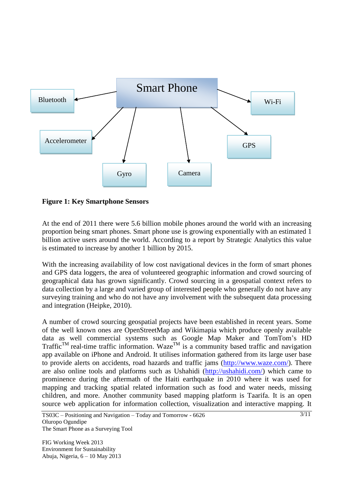

**Figure 1: Key Smartphone Sensors**

At the end of 2011 there were 5.6 billion mobile phones around the world with an increasing proportion being smart phones. Smart phone use is growing exponentially with an estimated 1 billion active users around the world. According to a report by Strategic Analytics this value is estimated to increase by another 1 billion by 2015.

With the increasing availability of low cost navigational devices in the form of smart phones and GPS data loggers, the area of volunteered geographic information and crowd sourcing of geographical data has grown significantly. Crowd sourcing in a geospatial context refers to data collection by a large and varied group of interested people who generally do not have any surveying training and who do not have any involvement with the subsequent data processing and integration (Heipke, 2010).

A number of crowd sourcing geospatial projects have been established in recent years. Some of the well known ones are OpenStreetMap and Wikimapia which produce openly available data as well commercial systems such as Google Map Maker and TomTom"s HD Traffic<sup>TM</sup> real-time traffic information. Waze<sup>TM</sup> is a community based traffic and navigation app available on iPhone and Android. It utilises information gathered from its large user base to provide alerts on accidents, road hazards and traffic jams [\(http://www.waze.com/\)](http://www.waze.com/). There are also online tools and platforms such as Ushahidi [\(http://ushahidi.com/\)](http://ushahidi.com/) which came to prominence during the aftermath of the Haiti earthquake in 2010 where it was used for mapping and tracking spatial related information such as food and water needs, missing children, and more. Another community based mapping platform is Taarifa. It is an open source web application for information collection, visualization and interactive mapping. It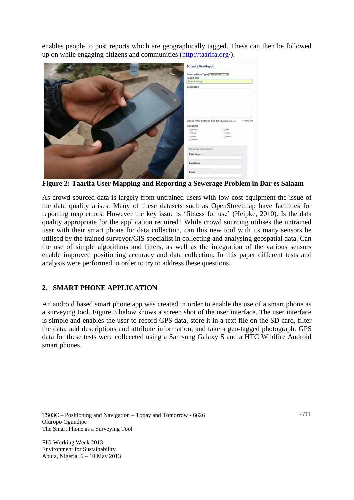enables people to post reports which are geographically tagged. These can then be followed up on while engaging citizens and communities [\(http://taarifa.org/\)](http://taarifa.org/).



**Figure 2: Taarifa User Mapping and Reporting a Sewerage Problem in Dar es Salaam**

As crowd sourced data is largely from untrained users with low cost equipment the issue of the data quality arises. Many of these datasets such as OpenStreetmap have facilities for reporting map errors. However the key issue is "fitness for use" (Heipke, 2010). Is the data quality appropriate for the application required? While crowd sourcing utilises the untrained user with their smart phone for data collection, can this new tool with its many sensors be utilised by the trained surveyor/GIS specialist in collecting and analysing geospatial data. Can the use of simple algorithms and filters, as well as the integration of the various sensors enable improved positioning accuracy and data collection. In this paper different tests and analysis were performed in order to try to address these questions.

# **2. SMART PHONE APPLICATION**

An android based smart phone app was created in order to enable the use of a smart phone as a surveying tool. Figure 3 below shows a screen shot of the user interface. The user interface is simple and enables the user to record GPS data, store it in a text file on the SD card, filter the data, add descriptions and attribute information, and take a geo-tagged photograph. GPS data for these tests were colleceted using a Samsung Galaxy S and a HTC Wildfire Android smart phones.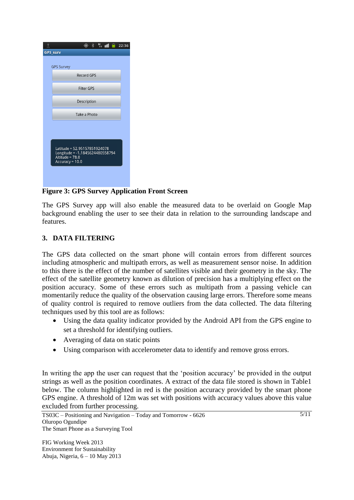

# **Figure 3: GPS Survey Application Front Screen**

The GPS Survey app will also enable the measured data to be overlaid on Google Map background enabling the user to see their data in relation to the surrounding landscape and features.

## **3. DATA FILTERING**

The GPS data collected on the smart phone will contain errors from different sources including atmospheric and multipath errors, as well as measurement sensor noise. In addition to this there is the effect of the number of satellites visible and their geometry in the sky. The effect of the satellite geometry known as dilution of precision has a multiplying effect on the position accuracy. Some of these errors such as multipath from a passing vehicle can momentarily reduce the quality of the observation causing large errors. Therefore some means of quality control is required to remove outliers from the data collected. The data filtering techniques used by this tool are as follows:

- Using the data quality indicator provided by the Android API from the GPS engine to set a threshold for identifying outliers.
- Averaging of data on static points
- Using comparison with accelerometer data to identify and remove gross errors.

In writing the app the user can request that the "position accuracy" be provided in the output strings as well as the position coordinates. A extract of the data file stored is shown in Table1 below. The column highlighted in red is the position accuracy provided by the smart phone GPS engine. A threshold of 12m was set with positions with accuracy values above this value excluded from further processing.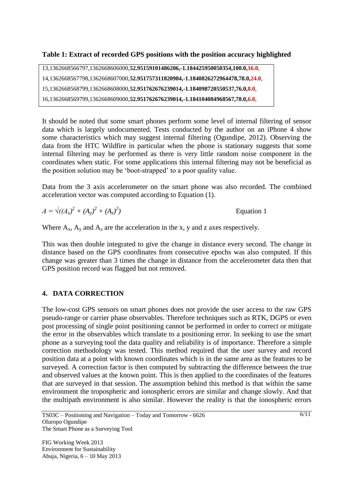## **Table 1: Extract of recorded GPS positions with the position accuracy highlighted**

```
13,1362668566797,1362668606000,52.95159101486206,-1.184425950050354,100.0,16.0,
```

```
14,1362668567798,1362668607000,52.951757311820984,-1.1840826272964478,78.0,24.0,
```

```
15,1362668568799,1362668608000,52.951762676239014,-1.184098720550537,76.0,8.0,
```

```
16,1362668569799,1362668609000,52.951762676239014,-1.184104084968567,78.0,6.0,
```
It should be noted that some smart phones perform some level of internal filtering of sensor data which is largely undocumented. Tests conducted by the author on an iPhone 4 show some characteristics which may suggest internal filtering (Ogundipe, 2012). Observing the data from the HTC Wildfire in particular when the phone is stationary suggests that some internal filtering may be performed as there is very little random noise component in the coordinates when static. For some applications this internal filtering may not be beneficial as the position solution may be "boot-strapped" to a poor quality value.

Data from the 3 axis accelerometer on the smart phone was also recorded. The combined acceleration vector was computed according to Equation (1).

 $A = \sqrt{(A_x)^2 + (A_y)^2 + (A_z)^2}$ *)* Equation 1

Where  $A_x$ ,  $A_y$  and  $A_z$  are the acceleration in the x, y and z axes respectively.

This was then double integrated to give the change in distance every second. The change in distance based on the GPS coordinates from consecutive epochs was also computed. If this change was greater than 3 times the change in distance from the accelerometer data then that GPS position record was flagged but not removed.

# **4. DATA CORRECTION**

The low-cost GPS sensors on smart phones does not provide the user access to the raw GPS pseudo-range or carrier phase observables. Therefore techniques such as RTK, DGPS or even post processing of single point positioning cannot be performed in order to correct or mitigate the error in the observables which translate to a positioning error. In seeking to use the smart phone as a surveying tool the data quality and reliability is of importance. Therefore a simple correction methodology was tested. This method required that the user survey and record position data at a point with known coordinates which is in the same area as the features to be surveyed. A correction factor is then computed by subtracting the difference between the true and observed values at the known point. This is then applied to the coordinates of the features that are surveyed in that session. The assumption behind this method is that within the same environment the tropospheric and ionospheric errors are similar and change slowly. And that the multipath environment is also similar. However the reality is that the ionospheric errors

TS03C – Positioning and Navigation – Today and Tomorrow - 6626 Oluropo Ogundipe The Smart Phone as a Surveying Tool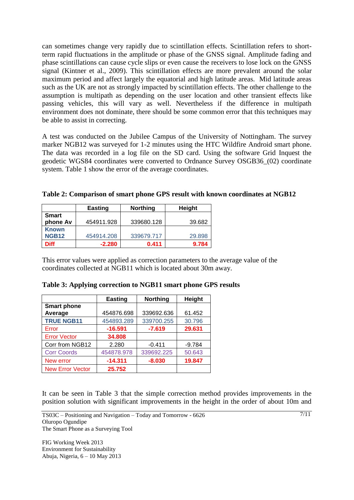can sometimes change very rapidly due to scintillation effects. Scintillation refers to shortterm rapid fluctuations in the amplitude or phase of the GNSS signal. Amplitude fading and phase scintillations can cause cycle slips or even cause the receivers to lose lock on the GNSS signal (Kintner et al., 2009). This scintillation effects are more prevalent around the solar maximum period and affect largely the equatorial and high latitude areas. Mid latitude areas such as the UK are not as strongly impacted by scintillation effects. The other challenge to the assumption is multipath as depending on the user location and other transient effects like passing vehicles, this will vary as well. Nevertheless if the difference in multipath environment does not dominate, there should be some common error that this techniques may be able to assist in correcting.

A test was conducted on the Jubilee Campus of the University of Nottingham. The survey marker NGB12 was surveyed for 1-2 minutes using the HTC Wildfire Android smart phone. The data was recorded in a log file on the SD card. Using the software Grid Inquest the geodetic WGS84 coordinates were converted to Ordnance Survey OSGB36\_(02) coordinate system. Table 1 show the error of the average coordinates.

**Table 2: Comparison of smart phone GPS result with known coordinates at NGB12**

|              | <b>Easting</b> | <b>Northing</b> | Height |
|--------------|----------------|-----------------|--------|
| <b>Smart</b> |                |                 |        |
| phone Av     | 454911.928     | 339680.128      | 39.682 |
| <b>Known</b> |                |                 |        |
| <b>NGB12</b> | 454914.208     | 339679.717      | 29.898 |
| <b>Diff</b>  | $-2.280$       | 0.411           | 9.784  |

This error values were applied as correction parameters to the average value of the coordinates collected at NGB11 which is located about 30m away.

|                         | <b>Easting</b> | <b>Northing</b> | Height   |
|-------------------------|----------------|-----------------|----------|
| <b>Smart phone</b>      |                |                 |          |
| Average                 | 454876.698     | 339692.636      | 61.452   |
| <b>TRUE NGB11</b>       | 454893.289     | 339700.255      | 30.796   |
| Error                   | $-16.591$      | $-7.619$        | 29.631   |
| <b>Error Vector</b>     | 34.808         |                 |          |
| Corr from NGB12         | 2.280          | $-0.411$        | $-9.784$ |
| <b>Corr Coords</b>      | 454878.978     | 339692.225      | 50.643   |
| New error               | $-14.311$      | $-8.030$        | 19.847   |
| <b>New Error Vector</b> | 25.752         |                 |          |

| Table 3: Applying correction to NGB11 smart phone GPS results |
|---------------------------------------------------------------|
|---------------------------------------------------------------|

It can be seen in Table 3 that the simple correction method provides improvements in the position solution with significant improvements in the height in the order of about 10m and

TS03C – Positioning and Navigation – Today and Tomorrow - 6626 Oluropo Ogundipe The Smart Phone as a Surveying Tool

FIG Working Week 2013

Environment for Sustainability Abuja, Nigeria, 6 – 10 May 2013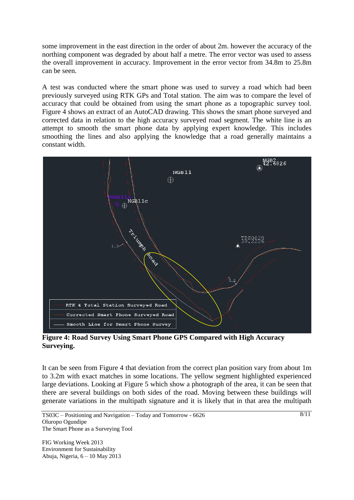some improvement in the east direction in the order of about 2m. however the accuracy of the northing component was degraded by about half a metre. The error vector was used to assess the overall improvement in accuracy. Improvement in the error vector from 34.8m to 25.8m can be seen.

A test was conducted where the smart phone was used to survey a road which had been previously surveyed using RTK GPs and Total station. The aim was to compare the level of accuracy that could be obtained from using the smart phone as a topographic survey tool. Figure 4 shows an extract of an AutoCAD drawing. This shows the smart phone surveyed and corrected data in relation to the high accuracy surveyed road segment. The white line is an attempt to smooth the smart phone data by applying expert knowledge. This includes smoothing the lines and also applying the knowledge that a road generally maintains a constant width.



**Figure 4: Road Survey Using Smart Phone GPS Compared with High Accuracy Surveying.**

It can be seen from Figure 4 that deviation from the correct plan position vary from about 1m to 3.2m with exact matches in some locations. The yellow segment highlighted experienced large deviations. Looking at Figure 5 which show a photograph of the area, it can be seen that there are several buildings on both sides of the road. Moving between these buildings will generate variations in the multipath signature and it is likely that in that area the multipath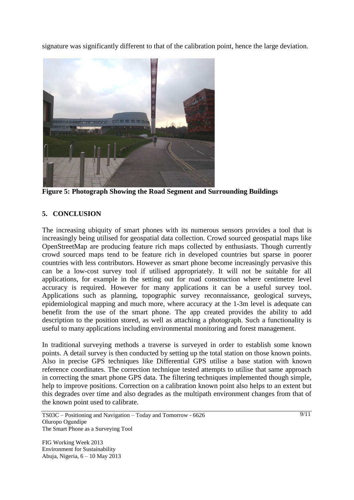signature was significantly different to that of the calibration point, hence the large deviation.



**Figure 5: Photograph Showing the Road Segment and Surrounding Buildings**

# **5. CONCLUSION**

The increasing ubiquity of smart phones with its numerous sensors provides a tool that is increasingly being utilised for geospatial data collection. Crowd sourced geospatial maps like OpenStreetMap are producing feature rich maps collected by enthusiasts. Though currently crowd sourced maps tend to be feature rich in developed countries but sparse in poorer countries with less contributors. However as smart phone become increasingly pervasive this can be a low-cost survey tool if utilised appropriately. It will not be suitable for all applications, for example in the setting out for road construction where centimetre level accuracy is required. However for many applications it can be a useful survey tool. Applications such as planning, topographic survey reconnaissance, geological surveys, epidemiological mapping and much more, where accuracy at the 1-3m level is adequate can benefit from the use of the smart phone. The app created provides the ability to add description to the position stored, as well as attaching a photograph. Such a functionality is useful to many applications including environmental monitoring and forest management.

In traditional surveying methods a traverse is surveyed in order to establish some known points. A detail survey is then conducted by setting up the total station on those known points. Also in precise GPS techniques like Differential GPS utilise a base station with known reference coordinates. The correction technique tested attempts to utilise that same approach in correcting the smart phone GPS data. The filtering techniques implemented though simple, help to improve positions. Correction on a calibration known point also helps to an extent but this degrades over time and also degrades as the multipath environment changes from that of the known point used to calibrate.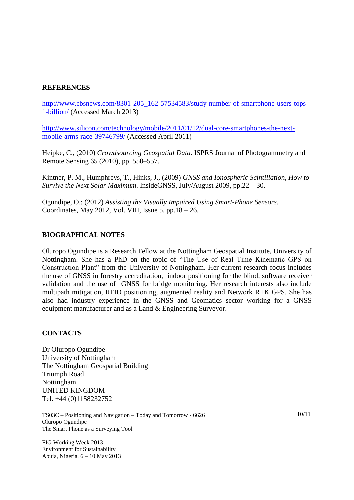#### **REFERENCES**

[http://www.cbsnews.com/8301-205\\_162-57534583/study-number-of-smartphone-users-tops-](http://www.cbsnews.com/8301-205_162-57534583/study-number-of-smartphone-users-tops-1-billion/)[1-billion/](http://www.cbsnews.com/8301-205_162-57534583/study-number-of-smartphone-users-tops-1-billion/) (Accessed March 2013)

[http://www.silicon.com/technology/mobile/2011/01/12/dual-core-smartphones-the-next](http://www.silicon.com/technology/mobile/2011/01/12/dual-core-smartphones-the-next-mobile-arms-race-39746799/)[mobile-arms-race-39746799/](http://www.silicon.com/technology/mobile/2011/01/12/dual-core-smartphones-the-next-mobile-arms-race-39746799/) (Accessed April 2011)

Heipke, C., (2010) *Crowdsourcing Geospatial Data*. ISPRS Journal of Photogrammetry and Remote Sensing 65 (2010), pp. 550–557.

Kintner, P. M., Humphreys, T., Hinks, J., (2009) *GNSS and Ionospheric Scintillation, How to Survive the Next Solar Maximum*. InsideGNSS, July/August 2009, pp.22 – 30.

Ogundipe, O.; (2012) *Assisting the Visually Impaired Using Smart-Phone Sensors*. Coordinates, May 2012, Vol. VIII, Issue 5, pp.18 – 26.

#### **BIOGRAPHICAL NOTES**

Oluropo Ogundipe is a Research Fellow at the Nottingham Geospatial Institute, University of Nottingham. She has a PhD on the topic of "The Use of Real Time Kinematic GPS on Construction Plant" from the University of Nottingham. Her current research focus includes the use of GNSS in forestry accreditation, indoor positioning for the blind, software receiver validation and the use of GNSS for bridge monitoring. Her research interests also include multipath mitigation, RFID positioning, augmented reality and Network RTK GPS. She has also had industry experience in the GNSS and Geomatics sector working for a GNSS equipment manufacturer and as a Land & Engineering Surveyor.

#### **CONTACTS**

Dr Oluropo Ogundipe University of Nottingham The Nottingham Geospatial Building Triumph Road Nottingham UNITED KINGDOM Tel. +44 (0)1158232752

TS03C – Positioning and Navigation – Today and Tomorrow - 6626 Oluropo Ogundipe The Smart Phone as a Surveying Tool

FIG Working Week 2013 Environment for Sustainability Abuja, Nigeria, 6 – 10 May 2013  $\frac{10}{11}$